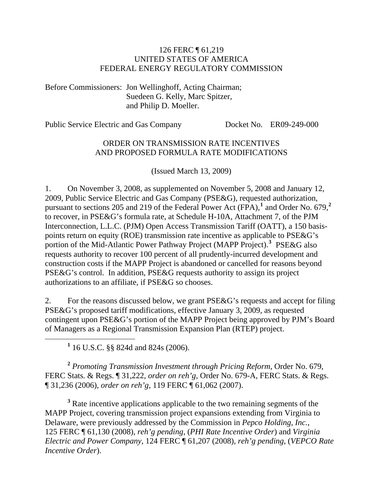#### 126 FERC ¶ 61,219 UNITED STATES OF AMERICA FEDERAL ENERGY REGULATORY COMMISSION

Before Commissioners: Jon Wellinghoff, Acting Chairman; Suedeen G. Kelly, Marc Spitzer, and Philip D. Moeller.

Public Service Electric and Gas Company Docket No. ER09-249-000

### ORDER ON TRANSMISSION RATE INCENTIVES AND PROPOSED FORMULA RATE MODIFICATIONS

(Issued March 13, 2009)

1. On November 3, 2008, as supplemented on November 5, 2008 and January 12, 2009, Public Service Electric and Gas Company (PSE&G), requested authorization, pursuant to sections 205 and 219 of the Federal Power Act (FPA),**[1](#page-0-0)** and Order No. 679,**[2](#page-0-1)** to recover, in PSE&G's formula rate, at Schedule H-10A, Attachment 7, of the PJM Interconnection, L.L.C. (PJM) Open Access Transmission Tariff (OATT), a 150 basispoints return on equity (ROE) transmission rate incentive as applicable to PSE&G's portion of the Mid-Atlantic Power Pathway Project (MAPP Project).**[3](#page-0-2)** PSE&G also requests authority to recover 100 percent of all prudently-incurred development and construction costs if the MAPP Project is abandoned or cancelled for reasons beyond PSE&G's control. In addition, PSE&G requests authority to assign its project authorizations to an affiliate, if PSE&G so chooses.

2. For the reasons discussed below, we grant PSE&G's requests and accept for filing PSE&G's proposed tariff modifications, effective January 3, 2009, as requested contingent upon PSE&G's portion of the MAPP Project being approved by PJM's Board of Managers as a Regional Transmission Expansion Plan (RTEP) project.

<span id="page-0-0"></span><u>1</u> 16 U.S.C. §§ 824d and 824s (2006).

<span id="page-0-1"></span>**<sup>2</sup>** *Promoting Transmission Investment through Pricing Reform*, Order No. 679, FERC Stats. & Regs. ¶ 31,222, *order on reh'g*, Order No. 679-A, FERC Stats. & Regs. ¶ 31,236 (2006), *order on reh'g*, 119 FERC ¶ 61,062 (2007).

<span id="page-0-2"></span><sup>3</sup> Rate incentive applications applicable to the two remaining segments of the MAPP Project, covering transmission project expansions extending from Virginia to Delaware, were previously addressed by the Commission in *Pepco Holding, Inc.*, 125 FERC ¶ 61,130 (2008), *reh'g pending*, (*PHI Rate Incentive Order*) and *Virginia Electric and Power Company*, 124 FERC ¶ 61,207 (2008), *reh'g pending*, (*VEPCO Rate Incentive Order*).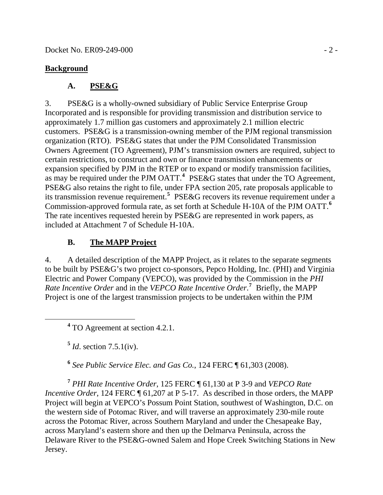### **Background**

## **A. PSE&G**

3. PSE&G is a wholly-owned subsidiary of Public Service Enterprise Group Incorporated and is responsible for providing transmission and distribution service to approximately 1.7 million gas customers and approximately 2.1 million electric customers. PSE&G is a transmission-owning member of the PJM regional transmission organization (RTO). PSE&G states that under the PJM Consolidated Transmission Owners Agreement (TO Agreement), PJM's transmission owners are required, subject to certain restrictions, to construct and own or finance transmission enhancements or expansion specified by PJM in the RTEP or to expand or modify transmission facilities, as may be required under the PJM OATT.<sup>[4](#page-1-0)</sup> PSE&G states that under the TO Agreement, PSE&G also retains the right to file, under FPA section 205, rate proposals applicable to its transmission revenue requirement.**[5](#page-1-1)** PSE&G recovers its revenue requirement under a Commission-approved formula rate, as set forth at Schedule H-10A of the PJM OATT.**[6](#page-1-2)** The rate incentives requested herein by PSE&G are represented in work papers, as included at Attachment 7 of Schedule H-10A.

## **B. The MAPP Project**

4. A detailed description of the MAPP Project, as it relates to the separate segments to be built by PSE&G's two project co-sponsors, Pepco Holding, Inc. (PHI) and Virginia Electric and Power Company (VEPCO), was provided by the Commission in the *PHI Rate Incentive Order* and in the *VEPCO Rate Incentive Order*. **[7](#page-1-3)** Briefly, the MAPP Project is one of the largest transmission projects to be undertaken within the PJM

<span id="page-1-1"></span><span id="page-1-0"></span> **<sup>4</sup>** <sup>4</sup> TO Agreement at section 4.2.1.

**<sup>5</sup>** *Id*. section 7.5.1(iv).

**<sup>6</sup>** *See Public Service Elec. and Gas Co.*, 124 FERC ¶ 61,303 (2008).

<span id="page-1-3"></span><span id="page-1-2"></span>**<sup>7</sup>** *PHI Rate Incentive Order*, 125 FERC ¶ 61,130 at P 3-9 and *VEPCO Rate Incentive Order*, 124 FERC  $\P$  61,207 at P 5-17. As described in those orders, the MAPP Project will begin at VEPCO's Possum Point Station, southwest of Washington, D.C. on the western side of Potomac River, and will traverse an approximately 230-mile route across the Potomac River, across Southern Maryland and under the Chesapeake Bay, across Maryland's eastern shore and then up the Delmarva Peninsula, across the Delaware River to the PSE&G-owned Salem and Hope Creek Switching Stations in New Jersey.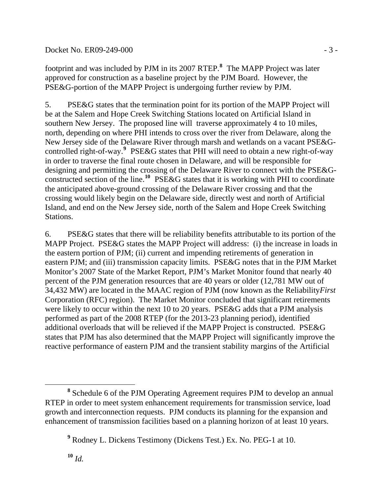#### Docket No. ER09-249-000 - 3 -

footprint and was included by PJM in its 2007 RTEP.**<sup>8</sup>** The MAPP Project was later approved for construction as a baseline project by the PJM Board. However, the PSE&G-portion of the MAPP Project is undergoing further review by PJM.

5. PSE&G states that the termination point for its portion of the MAPP Project will be at the Salem and Hope Creek Switching Stations located on Artificial Island in southern New Jersey. The proposed line will traverse approximately 4 to 10 miles, north, depending on where PHI intends to cross over the river from Delaware, along the New Jersey side of the Delaware River through marsh and wetlands on a vacant PSE&Gcontrolled right-of-way.**[9](#page-2-0)** PSE&G states that PHI will need to obtain a new right-of-way in order to traverse the final route chosen in Delaware, and will be responsible for designing and permitting the crossing of the Delaware River to connect with the PSE&Gconstructed section of the line.**[10](#page-2-1)** PSE&G states that it is working with PHI to coordinate the anticipated above-ground crossing of the Delaware River crossing and that the crossing would likely begin on the Delaware side, directly west and north of Artificial Island, and end on the New Jersey side, north of the Salem and Hope Creek Switching Stations.

6. PSE&G states that there will be reliability benefits attributable to its portion of the MAPP Project. PSE&G states the MAPP Project will address: (i) the increase in loads in the eastern portion of PJM; (ii) current and impending retirements of generation in eastern PJM; and (iii) transmission capacity limits. PSE&G notes that in the PJM Market Monitor's 2007 State of the Market Report, PJM's Market Monitor found that nearly 40 percent of the PJM generation resources that are 40 years or older (12,781 MW out of 34,432 MW) are located in the MAAC region of PJM (now known as the Reliability*First* Corporation (RFC) region). The Market Monitor concluded that significant retirements were likely to occur within the next 10 to 20 years. PSE&G adds that a PJM analysis performed as part of the 2008 RTEP (for the 2013-23 planning period), identified additional overloads that will be relieved if the MAPP Project is constructed. PSE&G states that PJM has also determined that the MAPP Project will significantly improve the reactive performance of eastern PJM and the transient stability margins of the Artificial

<span id="page-2-0"></span>**<sup>8</sup>** Schedule 6 of the PJM Operating Agreement requires PJM to develop an annual RTEP in order to meet system enhancement requirements for transmission service, load growth and interconnection requests. PJM conducts its planning for the expansion and enhancement of transmission facilities based on a planning horizon of at least 10 years.

<span id="page-2-1"></span>**<sup>9</sup>** Rodney L. Dickens Testimony (Dickens Test.) Ex. No. PEG-1 at 10.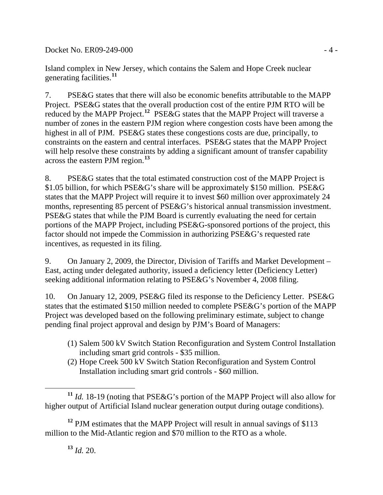Docket No. ER09-249-000 - 4 -

Island complex in New Jersey, which contains the Salem and Hope Creek nuclear generating facilities.**[11](#page-3-0)**

7. PSE&G states that there will also be economic benefits attributable to the MAPP Project. PSE&G states that the overall production cost of the entire PJM RTO will be reduced by the MAPP Project.**[12](#page-3-1)** PSE&G states that the MAPP Project will traverse a number of zones in the eastern PJM region where congestion costs have been among the highest in all of PJM. PSE&G states these congestions costs are due, principally, to constraints on the eastern and central interfaces. PSE&G states that the MAPP Project will help resolve these constraints by adding a significant amount of transfer capability across the eastern PJM region.**[13](#page-3-2)**

8. PSE&G states that the total estimated construction cost of the MAPP Project is \$1.05 billion, for which PSE&G's share will be approximately \$150 million. PSE&G states that the MAPP Project will require it to invest \$60 million over approximately 24 months, representing 85 percent of PSE&G's historical annual transmission investment. PSE&G states that while the PJM Board is currently evaluating the need for certain portions of the MAPP Project, including PSE&G-sponsored portions of the project, this factor should not impede the Commission in authorizing PSE&G's requested rate incentives, as requested in its filing.

9. On January 2, 2009, the Director, Division of Tariffs and Market Development – East, acting under delegated authority, issued a deficiency letter (Deficiency Letter) seeking additional information relating to PSE&G's November 4, 2008 filing.

10. On January 12, 2009, PSE&G filed its response to the Deficiency Letter. PSE&G states that the estimated \$150 million needed to complete PSE&G's portion of the MAPP Project was developed based on the following preliminary estimate, subject to change pending final project approval and design by PJM's Board of Managers:

- (1) Salem 500 kV Switch Station Reconfiguration and System Control Installation including smart grid controls - \$35 million.
- (2) Hope Creek 500 kV Switch Station Reconfiguration and System Control Installation including smart grid controls - \$60 million.

**<sup>13</sup>** *Id.* 20.

<span id="page-3-0"></span> $\overline{a}$ **<sup>11</sup>** *Id.* 18-19 (noting that PSE&G's portion of the MAPP Project will also allow for higher output of Artificial Island nuclear generation output during outage conditions).

<span id="page-3-2"></span><span id="page-3-1"></span><sup>&</sup>lt;sup>12</sup> PJM estimates that the MAPP Project will result in annual savings of \$113 million to the Mid-Atlantic region and \$70 million to the RTO as a whole.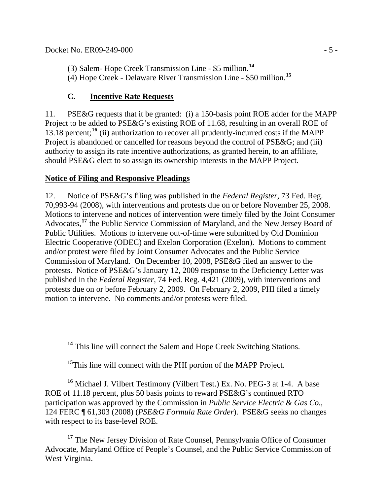(3) Salem- Hope Creek Transmission Line - \$5 million.**[14](#page-4-0)**

(4) Hope Creek - Delaware River Transmission Line - \$50 million.**[15](#page-4-1)**

## **C. Incentive Rate Requests**

11. PSE&G requests that it be granted: (i) a 150-basis point ROE adder for the MAPP Project to be added to PSE&G's existing ROE of 11.68, resulting in an overall ROE of 13.18 percent;**[16](#page-4-2)** (ii) authorization to recover all prudently-incurred costs if the MAPP Project is abandoned or cancelled for reasons beyond the control of PSE&G; and (iii) authority to assign its rate incentive authorizations, as granted herein, to an affiliate, should PSE&G elect to so assign its ownership interests in the MAPP Project.

## **Notice of Filing and Responsive Pleadings**

12. Notice of PSE&G's filing was published in the *Federal Register*, 73 Fed. Reg. 70,993-94 (2008), with interventions and protests due on or before November 25, 2008. Motions to intervene and notices of intervention were timely filed by the Joint Consumer Advocates,**[17](#page-4-3)** the Public Service Commission of Maryland, and the New Jersey Board of Public Utilities. Motions to intervene out-of-time were submitted by Old Dominion Electric Cooperative (ODEC) and Exelon Corporation (Exelon). Motions to comment and/or protest were filed by Joint Consumer Advocates and the Public Service Commission of Maryland. On December 10, 2008, PSE&G filed an answer to the protests. Notice of PSE&G's January 12, 2009 response to the Deficiency Letter was published in the *Federal Register*, 74 Fed. Reg. 4,421 (2009), with interventions and protests due on or before February 2, 2009. On February 2, 2009, PHI filed a timely motion to intervene. No comments and/or protests were filed.

**<sup>14</sup>** This line will connect the Salem and Hope Creek Switching Stations.

<sup>15</sup>This line will connect with the PHI portion of the MAPP Project.

<span id="page-4-2"></span><span id="page-4-1"></span><span id="page-4-0"></span>**<sup>16</sup>** Michael J. Vilbert Testimony (Vilbert Test.) Ex. No. PEG-3 at 1-4. A base ROE of 11.18 percent, plus 50 basis points to reward PSE&G's continued RTO participation was approved by the Commission in *Public Service Electric & Gas Co.*, 124 FERC ¶ 61,303 (2008) (*PSE&G Formula Rate Order*). PSE&G seeks no changes with respect to its base-level ROE.

<span id="page-4-3"></span>**<sup>17</sup>** The New Jersey Division of Rate Counsel, Pennsylvania Office of Consumer Advocate, Maryland Office of People's Counsel, and the Public Service Commission of West Virginia.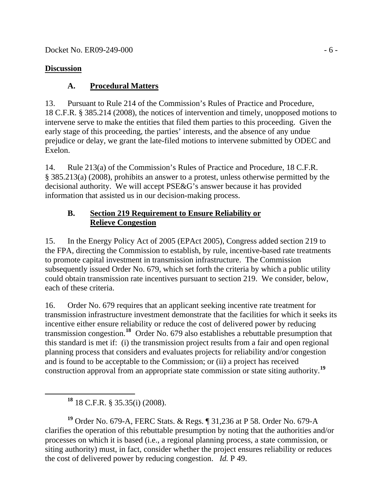### **Discussion**

## **A. Procedural Matters**

13. Pursuant to Rule 214 of the Commission's Rules of Practice and Procedure, 18 C.F.R. § 385.214 (2008), the notices of intervention and timely, unopposed motions to intervene serve to make the entities that filed them parties to this proceeding. Given the early stage of this proceeding, the parties' interests, and the absence of any undue prejudice or delay, we grant the late-filed motions to intervene submitted by ODEC and Exelon.

14. Rule 213(a) of the Commission's Rules of Practice and Procedure, 18 C.F.R. § 385.213(a) (2008), prohibits an answer to a protest, unless otherwise permitted by the decisional authority. We will accept PSE&G's answer because it has provided information that assisted us in our decision-making process.

### **B. Section 219 Requirement to Ensure Reliability or Relieve Congestion**

15. In the Energy Policy Act of 2005 (EPAct 2005), Congress added section 219 to the FPA, directing the Commission to establish, by rule, incentive-based rate treatments to promote capital investment in transmission infrastructure. The Commission subsequently issued Order No. 679, which set forth the criteria by which a public utility could obtain transmission rate incentives pursuant to section 219. We consider, below, each of these criteria.

16. Order No. 679 requires that an applicant seeking incentive rate treatment for transmission infrastructure investment demonstrate that the facilities for which it seeks its incentive either ensure reliability or reduce the cost of delivered power by reducing transmission congestion.**[18](#page-5-0)** Order No. 679 also establishes a rebuttable presumption that this standard is met if: (i) the transmission project results from a fair and open regional planning process that considers and evaluates projects for reliability and/or congestion and is found to be acceptable to the Commission; or (ii) a project has received construction approval from an appropriate state commission or state siting authority.**[19](#page-5-1)**

<span id="page-5-1"></span><span id="page-5-0"></span>**<sup>19</sup>** Order No. 679-A, FERC Stats. & Regs. ¶ 31,236 at P 58. Order No. 679-A clarifies the operation of this rebuttable presumption by noting that the authorities and/or processes on which it is based (i.e., a regional planning process, a state commission, or siting authority) must, in fact, consider whether the project ensures reliability or reduces the cost of delivered power by reducing congestion. *Id.* P 49.

**<sup>18</sup>** 18 C.F.R. § 35.35(i) (2008).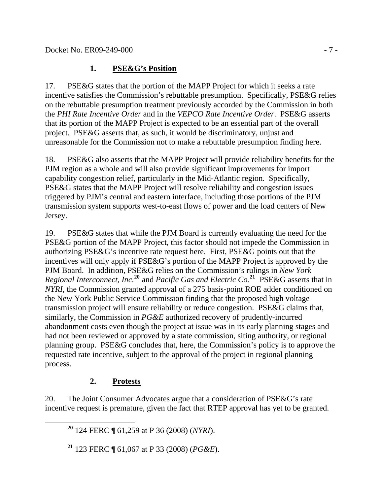### **1. PSE&G's Position**

17. PSE&G states that the portion of the MAPP Project for which it seeks a rate incentive satisfies the Commission's rebuttable presumption. Specifically, PSE&G relies on the rebuttable presumption treatment previously accorded by the Commission in both the *PHI Rate Incentive Order* and in the *VEPCO Rate Incentive Order*. PSE&G asserts that its portion of the MAPP Project is expected to be an essential part of the overall project. PSE&G asserts that, as such, it would be discriminatory, unjust and unreasonable for the Commission not to make a rebuttable presumption finding here.

18. PSE&G also asserts that the MAPP Project will provide reliability benefits for the PJM region as a whole and will also provide significant improvements for import capability congestion relief, particularly in the Mid-Atlantic region. Specifically, PSE&G states that the MAPP Project will resolve reliability and congestion issues triggered by PJM's central and eastern interface, including those portions of the PJM transmission system supports west-to-east flows of power and the load centers of New Jersey.

19. PSE&G states that while the PJM Board is currently evaluating the need for the PSE&G portion of the MAPP Project, this factor should not impede the Commission in authorizing PSE&G's incentive rate request here. First, PSE&G points out that the incentives will only apply if PSE&G's portion of the MAPP Project is approved by the PJM Board. In addition, PSE&G relies on the Commission's rulings in *New York Regional Interconnect, Inc.***[20](#page-6-0)** and *Pacific Gas and Electric Co.***[21](#page-6-1)**PSE&G asserts that in *NYRI*, the Commission granted approval of a 275 basis-point ROE adder conditioned on the New York Public Service Commission finding that the proposed high voltage transmission project will ensure reliability or reduce congestion. PSE&G claims that, similarly, the Commission in *PG&E* authorized recovery of prudently-incurred abandonment costs even though the project at issue was in its early planning stages and had not been reviewed or approved by a state commission, siting authority, or regional planning group. PSE&G concludes that, here, the Commission's policy is to approve the requested rate incentive, subject to the approval of the project in regional planning process.

# **2. Protests**

<span id="page-6-0"></span>20. The Joint Consumer Advocates argue that a consideration of PSE&G's rate incentive request is premature, given the fact that RTEP approval has yet to be granted.

**<sup>20</sup>** 124 FERC ¶ 61,259 at P 36 (2008) (*NYRI*).

<span id="page-6-1"></span>**<sup>21</sup>** 123 FERC ¶ 61,067 at P 33 (2008) (*PG&E*).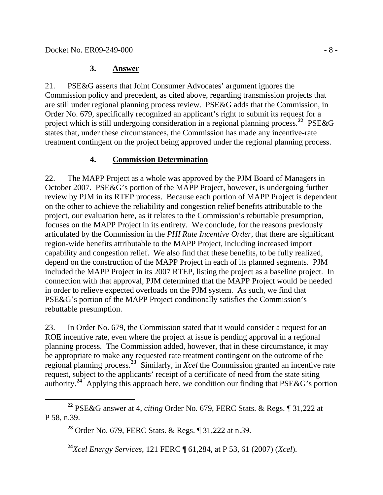### **3. Answer**

21. PSE&G asserts that Joint Consumer Advocates' argument ignores the Commission policy and precedent, as cited above, regarding transmission projects that are still under regional planning process review. PSE&G adds that the Commission, in Order No. 679, specifically recognized an applicant's right to submit its request for a project which is still undergoing consideration in a regional planning process.**[22](#page-7-0)** PSE&G states that, under these circumstances, the Commission has made any incentive-rate treatment contingent on the project being approved under the regional planning process.

## **4. Commission Determination**

22. The MAPP Project as a whole was approved by the PJM Board of Managers in October 2007. PSE&G's portion of the MAPP Project, however, is undergoing further review by PJM in its RTEP process. Because each portion of MAPP Project is dependent on the other to achieve the reliability and congestion relief benefits attributable to the project, our evaluation here, as it relates to the Commission's rebuttable presumption, focuses on the MAPP Project in its entirety. We conclude, for the reasons previously articulated by the Commission in the *PHI Rate Incentive Order*, that there are significant region-wide benefits attributable to the MAPP Project, including increased import capability and congestion relief. We also find that these benefits, to be fully realized, depend on the construction of the MAPP Project in each of its planned segments. PJM included the MAPP Project in its 2007 RTEP, listing the project as a baseline project. In connection with that approval, PJM determined that the MAPP Project would be needed in order to relieve expected overloads on the PJM system. As such, we find that PSE&G's portion of the MAPP Project conditionally satisfies the Commission's rebuttable presumption.

23. In Order No. 679, the Commission stated that it would consider a request for an ROE incentive rate, even where the project at issue is pending approval in a regional planning process. The Commission added, however, that in these circumstance, it may be appropriate to make any requested rate treatment contingent on the outcome of the regional planning process.**[23](#page-7-1)** Similarly, in *Xcel* the Commission granted an incentive rate request, subject to the applicants' receipt of a certificate of need from the state siting authority.**[24](#page-7-2)** Applying this approach here, we condition our finding that PSE&G's portion

<span id="page-7-2"></span><span id="page-7-1"></span><span id="page-7-0"></span>**<sup>22</sup>** PSE&G answer at 4, *citing* Order No. 679, FERC Stats. & Regs. ¶ 31,222 at P 58, n.39.

**<sup>23</sup>** Order No. 679, FERC Stats. & Regs. ¶ 31,222 at n.39.

**<sup>24</sup>***Xcel Energy Services*, 121 FERC ¶ 61,284, at P 53, 61 (2007) (*Xcel*).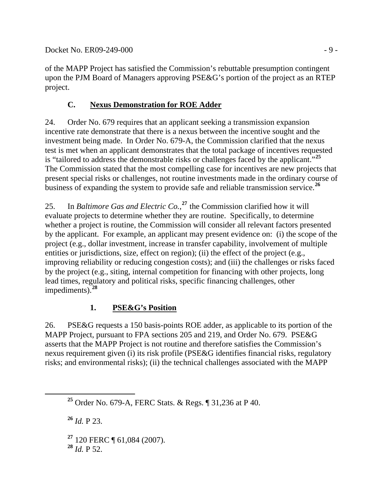Docket No. ER09-249-000 - 9 -

of the MAPP Project has satisfied the Commission's rebuttable presumption contingent upon the PJM Board of Managers approving PSE&G's portion of the project as an RTEP project.

## **C. Nexus Demonstration for ROE Adder**

24. Order No. 679 requires that an applicant seeking a transmission expansion incentive rate demonstrate that there is a nexus between the incentive sought and the investment being made. In Order No. 679-A, the Commission clarified that the nexus test is met when an applicant demonstrates that the total package of incentives requested is "tailored to address the demonstrable risks or challenges faced by the applicant."**[25](#page-8-0)** The Commission stated that the most compelling case for incentives are new projects t hat present special risks or challenges, not routine investments made in the ordinary course of business of expanding the system to provide safe and reliable transmission service. **[26](#page-8-1)**

whether a project is routine, the Commission will consider all relevant factors presented by the applicant. For example, an applicant may present evidence on: (i) the scope of the 25. In *Baltimore Gas and Electric Co.*, **[27](#page-8-2)** the Commission clarified how it will evaluate projects to determine whether they are routine. Specifically, to determine project (e.g., dollar investment, increase in transfer capability, involvement of multiple entities or jurisdictions, size, effect on region); (ii) the effect of the project (e.g., improving reliability or reducing congestion costs); and (iii) the challenges or risks faced by the project (e.g., siting, internal competition for financing with other projects, long lead times, regulatory and political risks, specific financing challenges, other impediments).**[28](#page-8-3)**

# **1. PSE&G's Position**

26. PSE&G requests a 150 basis-points ROE adder, as applicable to its portion of the MAPP Project, pursuant to FPA sections 205 and 219, and Order No. 679. PSE&G asserts that the MAPP Project is not routine and therefore satisfies the Commission's nexus requirement given (i) its risk profile (PSE&G identifies financial risks, regulatory risks; and environmental risks); (ii) the technical challenges associated with the MAPP

<span id="page-8-1"></span>**<sup>26</sup>** *Id.* P 23.

<span id="page-8-2"></span>**<sup>27</sup>** 120 FERC ¶ 61,084 (2007).

<span id="page-8-3"></span> $^{28}$  *Id.* P 52.

<span id="page-8-0"></span>**<sup>25</sup>** Order No. 679-A, FERC Stats. & Regs. ¶ 31,236 at P 40.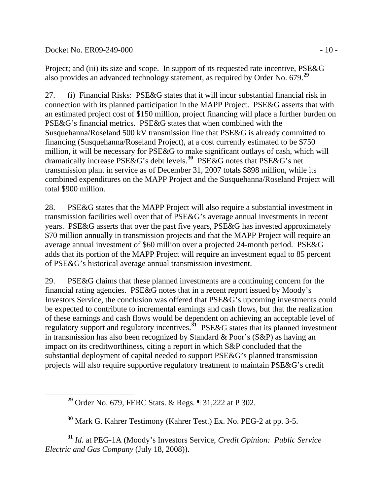Docket No. ER09-249-000 - 10 -

Project; and (iii) its size and scope. In support of its requested rate incentive, PSE&G also provides an advanced technology statement, as required by Order No. 679.**[29](#page-9-0)**

27. (i) Financial Risks: PSE&G states that it will incur substantial financial risk in connection with its planned participation in the MAPP Project. PSE&G asserts that with an estimated project cost of \$150 million, project financing will place a further burden on PSE&G's financial metrics. PSE&G states that when combined with the Susquehanna/Roseland 500 kV transmission line that PSE&G is already committed to financing (Susquehanna/Roseland Project), at a cost currently estimated to be \$750 million, it will be necessary for PSE&G to make significant outlays of cash, which will dramatically increase PSE&G's debt levels.**[30](#page-9-1)** PSE&G notes that PSE&G's net transmission plant in service as of December 31, 2007 totals \$898 million, while its combined expenditures on the MAPP Project and the Susquehanna/Roseland Project will total \$900 million.

28. PSE&G states that the MAPP Project will also require a substantial investment in transmission facilities well over that of PSE&G's average annual investments in recent years. PSE&G asserts that over the past five years, PSE&G has invested approximately \$70 million annually in transmission projects and that the MAPP Project will require an average annual investment of \$60 million over a projected 24-month period. PSE&G adds that its portion of the MAPP Project will require an investment equal to 85 percent of PSE&G's historical average annual transmission investment.

29. PSE&G claims that these planned investments are a continuing concern for the financial rating agencies. PSE&G notes that in a recent report issued by Moody's Investors Service, the conclusion was offered that PSE&G's upcoming investments could be expected to contribute to incremental earnings and cash flows, but that the realization of these earnings and cash flows would be dependent on achieving an acceptable level of regulatory support and regulatory incentives.**[31](#page-9-2)** PSE&G states that its planned investment in transmission has also been recognized by Standard & Poor's (S&P) as having an impact on its creditworthiness, citing a report in which S&P concluded that the substantial deployment of capital needed to support PSE&G's planned transmission projects will also require supportive regulatory treatment to maintain PSE&G's credit

<span id="page-9-2"></span><span id="page-9-1"></span><span id="page-9-0"></span>**<sup>31</sup>** *Id.* at PEG-1A (Moody's Investors Service, *Credit Opinion: Public Service Electric and Gas Company* (July 18, 2008)).

**<sup>29</sup>** Order No. 679, FERC Stats. & Regs. ¶ 31,222 at P 302.

**<sup>30</sup>** Mark G. Kahrer Testimony (Kahrer Test.) Ex. No. PEG-2 at pp. 3-5.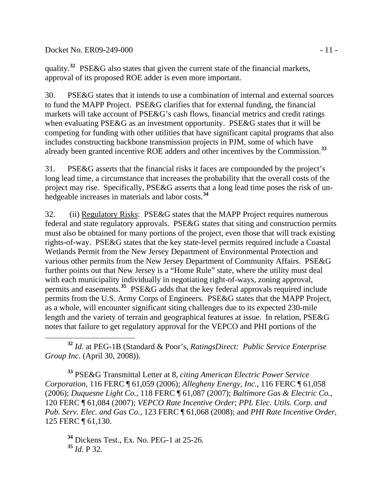Docket No. ER09-249-000 - 11 -

quality.**[32](#page-10-0)** PSE&G also states that given the current state of the financial markets, approval of its proposed ROE adder is even more important.

30. PSE&G states that it intends to use a combination of internal and external sources to fund the MAPP Project. PSE&G clarifies that for external funding, the financial markets will take account of PSE&G's cash flows, financial metrics and credit ratings when evaluating PSE&G as an investment opportunity. PSE&G states that it will be competing for funding with other utilities that have significant capital programs that also includes constructing backbone transmission projects in PJM, some of which have already been granted incentive ROE adders and other incentives by the Commission.**[33](#page-10-1)**

31. PSE&G asserts that the financial risks it faces are compounded by the project's long lead time, a circumstance that increases the probability that the overall costs of the project may rise. Specifically, PSE&G asserts that a long lead time poses the risk of unhedgeable increases in materials and labor costs.**[34](#page-10-2)**

32. (ii) Regulatory Risks: PSE&G states that the MAPP Project requires numerous federal and state regulatory approvals. PSE&G states that siting and construction permits must also be obtained for many portions of the project, even those that will track existing rights-of-way. PSE&G states that the key state-level permits required include a Coastal Wetlands Permit from the New Jersey Department of Environmental Protection and various other permits from the New Jersey Department of Community Affairs. PSE&G further points out that New Jersey is a "Home Rule" state, where the utility must deal with each municipality individually in negotiating right-of-ways, zoning approval, permits and easements.**[35](#page-10-3)** PSE&G adds that the key federal approvals required include permits from the U.S. Army Corps of Engineers. PSE&G states that the MAPP Project, as a whole, will encounter significant siting challenges due to its expected 230-mile length and the variety of terrain and geographical features at issue. In relation, PSE&G notes that failure to get regulatory approval for the VEPCO and PHI portions of the

<span id="page-10-0"></span> **<sup>32</sup>** *Id.* at PEG-1B (Standard & Poor's, *RatingsDirect: Public Service Enterprise Group Inc.* (April 30, 2008)).

<span id="page-10-1"></span>**<sup>33</sup>** PSE&G Transmittal Letter at 8, *citing American Electric Power Service Corporation*, 116 FERC ¶ 61,059 (2006); *Allegheny Energy, Inc.*, 116 FERC ¶ 61,058 (2006); *Duquesne Light Co.*, 118 FERC ¶ 61,087 (2007); *Baltimore Gas & Electric Co.*, 120 FERC ¶ 61,084 (2007); *VEPCO Rate Incentive Order*; *PPL Elec. Utils. Corp. and Pub. Serv. Elec. and Gas Co.*, 123 FERC ¶ 61,068 (2008); and *PHI Rate Incentive Order*, 125 FERC ¶ 61,130.

<span id="page-10-3"></span><span id="page-10-2"></span>**<sup>34</sup>** Dickens Test., Ex. No. PEG-1 at 25-26. **<sup>35</sup>** *Id.* P 32.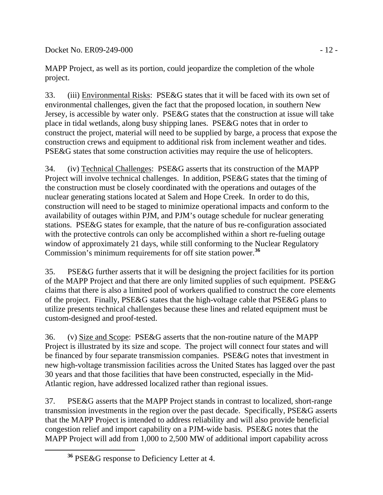Docket No. ER09-249-000 - 12 -

MAPP Project, as well as its portion, could jeopardize the completion of the whole project.

33. (iii) Environmental Risks: PSE&G states that it will be faced with its own set of environmental challenges, given the fact that the proposed location, in southern New Jersey, is accessible by water only. PSE&G states that the construction at issue will take place in tidal wetlands, along busy shipping lanes. PSE&G notes that in order to construct the project, material will need to be supplied by barge, a process that expose the construction crews and equipment to additional risk from inclement weather and tides. PSE&G states that some construction activities may require the use of helicopters.

34. (iv) Technical Challenges: PSE&G asserts that its construction of the MAPP Project will involve technical challenges. In addition, PSE&G states that the timing of the construction must be closely coordinated with the operations and outages of the nuclear generating stations located at Salem and Hope Creek. In order to do this, construction will need to be staged to minimize operational impacts and conform to the availability of outages within PJM, and PJM's outage schedule for nuclear generating stations. PSE&G states for example, that the nature of bus re-configuration associated with the protective controls can only be accomplished within a short re-fueling outage window of approximately 21 days, while still conforming to the Nuclear Regulatory Commission's minimum requirements for off site station power.**[36](#page-11-0)**

35. PSE&G further asserts that it will be designing the project facilities for its portion of the MAPP Project and that there are only limited supplies of such equipment. PSE&G claims that there is also a limited pool of workers qualified to construct the core elements of the project. Finally, PSE&G states that the high-voltage cable that PSE&G plans to utilize presents technical challenges because these lines and related equipment must be custom-designed and proof-tested.

36. (v) Size and Scope: PSE&G asserts that the non-routine nature of the MAPP Project is illustrated by its size and scope. The project will connect four states and will be financed by four separate transmission companies. PSE&G notes that investment in new high-voltage transmission facilities across the United States has lagged over the past 30 years and that those facilities that have been constructed, especially in the Mid-Atlantic region, have addressed localized rather than regional issues.

37. PSE&G asserts that the MAPP Project stands in contrast to localized, short-range transmission investments in the region over the past decade. Specifically, PSE&G asserts that the MAPP Project is intended to address reliability and will also provide beneficial congestion relief and import capability on a PJM-wide basis. PSE&G notes that the MAPP Project will add from 1,000 to 2,500 MW of additional import capability across

<span id="page-11-0"></span>**<sup>36</sup>** PSE&G response to Deficiency Letter at 4.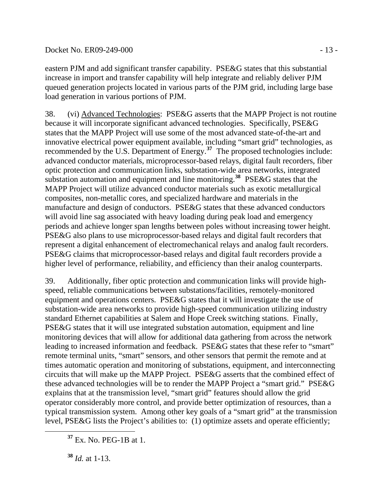#### Docket No. ER09-249-000 - 13 -

eastern PJM and add significant transfer capability. PSE&G states that this substantial increase in import and transfer capability will help integrate and reliably deliver PJM queued generation projects located in various parts of the PJM grid, including large base load generation in various portions of PJM.

38. (vi) Advanced Technologies: PSE&G asserts that the MAPP Project is not routine because it will incorporate significant advanced technologies. Specifically, PSE&G states that the MAPP Project will use some of the most advanced state-of-the-art and innovative electrical power equipment available, including "smart grid" technologies, as recommended by the U.S. Department of Energy.**[37](#page-12-0)** The proposed technologies include: advanced conductor materials, microprocessor-based relays, digital fault recorders, fiber optic protection and communication links, substation-wide area networks, integrated substation automation and equipment and line monitoring.**[38](#page-12-1)** PSE&G states that the MAPP Project will utilize advanced conductor materials such as exotic metallurgical composites, non-metallic cores, and specialized hardware and materials in the manufacture and design of conductors. PSE&G states that these advanced conductors will avoid line sag associated with heavy loading during peak load and emergency periods and achieve longer span lengths between poles without increasing tower height. PSE&G also plans to use microprocessor-based relays and digital fault recorders that represent a digital enhancement of electromechanical relays and analog fault recorders. PSE&G claims that microprocessor-based relays and digital fault recorders provide a higher level of performance, reliability, and efficiency than their analog counterparts.

39. Additionally, fiber optic protection and communication links will provide highspeed, reliable communications between substations/facilities, remotely-monitored equipment and operations centers. PSE&G states that it will investigate the use of substation-wide area networks to provide high-speed communication utilizing industry standard Ethernet capabilities at Salem and Hope Creek switching stations. Finally, PSE&G states that it will use integrated substation automation, equipment and line monitoring devices that will allow for additional data gathering from across the network leading to increased information and feedback. PSE&G states that these refer to "smart" remote terminal units, "smart" sensors, and other sensors that permit the remote and at times automatic operation and monitoring of substations, equipment, and interconnecting circuits that will make up the MAPP Project. PSE&G asserts that the combined effect of these advanced technologies will be to render the MAPP Project a "smart grid." PSE&G explains that at the transmission level, "smart grid" features should allow the grid operator considerably more control, and provide better optimization of resources, than a typical transmission system. Among other key goals of a "smart grid" at the transmission level, PSE&G lists the Project's abilities to: (1) optimize assets and operate efficiently;

<span id="page-12-1"></span>**<sup>38</sup>** *Id.* at 1-13.

<span id="page-12-0"></span>**<sup>37</sup>** Ex. No. PEG-1B at 1.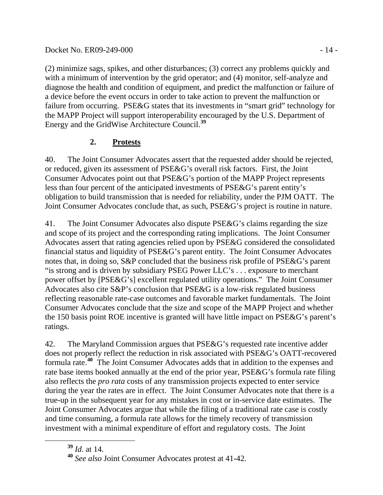(2) minimize sags, spikes, and other disturbances; (3) correct any problems quickly and with a minimum of intervention by the grid operator; and (4) monitor, self-analyze and diagnose the health and condition of equipment, and predict the malfunction or failure of a device before the event occurs in order to take action to prevent the malfunction or failure from occurring. PSE&G states that its investments in "smart grid" technology for the MAPP Project will support interoperability encouraged by the U.S. Department of Energy and the GridWise Architecture Council.**<sup>39</sup>**

# **2. Protests**

40. The Joint Consumer Advocates assert that the requested adder should be rejected, or reduced, given its assessment of PSE&G's overall risk factors. First, the Joint Consumer Advocates point out that PSE&G's portion of the MAPP Project represents less than four percent of the anticipated investments of PSE&G's parent entity's obligation to build transmission that is needed for reliability, under the PJM OATT. The Joint Consumer Advocates conclude that, as such, PSE&G's project is routine in nature.

41. The Joint Consumer Advocates also dispute PSE&G's claims regarding the size and scope of its project and the corresponding rating implications. The Joint Consumer Advocates assert that rating agencies relied upon by PSE&G considered the consolidated financial status and liquidity of PSE&G's parent entity. The Joint Consumer Advocates notes that, in doing so, S&P concluded that the business risk profile of PSE&G's parent "is strong and is driven by subsidiary PSEG Power LLC's . . . exposure to merchant power offset by [PSE&G's] excellent regulated utility operations." The Joint Consumer Advocates also cite S&P's conclusion that PSE&G is a low-risk regulated business reflecting reasonable rate-case outcomes and favorable market fundamentals. The Joint Consumer Advocates conclude that the size and scope of the MAPP Project and whether the 150 basis point ROE incentive is granted will have little impact on PSE&G's parent's ratings.

42. The Maryland Commission argues that PSE&G's requested rate incentive adder does not properly reflect the reduction in risk associated with PSE&G's OATT-recovered formula rate.**[40](#page-13-0)** The Joint Consumer Advocates adds that in addition to the expenses and rate base items booked annually at the end of the prior year, PSE&G's formula rate filing also reflects the *pro rata* costs of any transmission projects expected to enter service during the year the rates are in effect. The Joint Consumer Advocates note that there is a true-up in the subsequent year for any mistakes in cost or in-service date estimates. The Joint Consumer Advocates argue that while the filing of a traditional rate case is costly and time consuming, a formula rate allows for the timely recovery of transmission investment with a minimal expenditure of effort and regulatory costs. The Joint

**<sup>39</sup>** *Id.* at 14.

<span id="page-13-0"></span>**<sup>40</sup>** *See also* Joint Consumer Advocates protest at 41-42.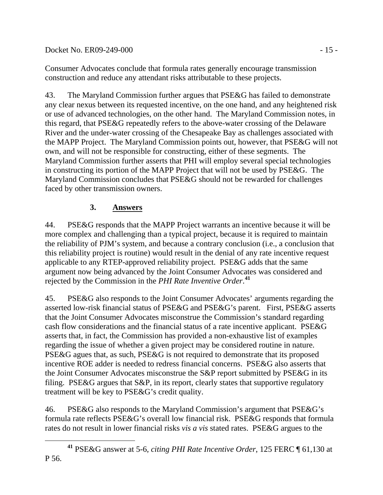Docket No. ER09-249-000 - 15 -

Consumer Advocates conclude that formula rates generally encourage transmission construction and reduce any attendant risks attributable to these projects.

43. The Maryland Commission further argues that PSE&G has failed to demonstrate any clear nexus between its requested incentive, on the one hand, and any heightened risk or use of advanced technologies, on the other hand. The Maryland Commission notes, in this regard, that PSE&G repeatedly refers to the above-water crossing of the Delaware River and the under-water crossing of the Chesapeake Bay as challenges associated with the MAPP Project. The Maryland Commission points out, however, that PSE&G will not own, and will not be responsible for constructing, either of these segments. The Maryland Commission further asserts that PHI will employ several special technologies in constructing its portion of the MAPP Project that will not be used by PSE&G. The Maryland Commission concludes that PSE&G should not be rewarded for challenges faced by other transmission owners.

# **3. Answers**

44. PSE&G responds that the MAPP Project warrants an incentive because it will be more complex and challenging than a typical project, because it is required to maintain the reliability of PJM's system, and because a contrary conclusion (i.e., a conclusion that this reliability project is routine) would result in the denial of any rate incentive request applicable to any RTEP-approved reliability project. PSE&G adds that the same argument now being advanced by the Joint Consumer Advocates was considered and rejected by the Commission in the *PHI Rate Inventive Order*. **[41](#page-14-0)**

45. PSE&G also responds to the Joint Consumer Advocates' arguments regarding the asserted low-risk financial status of PSE&G and PSE&G's parent. First, PSE&G asserts that the Joint Consumer Advocates misconstrue the Commission's standard regarding cash flow considerations and the financial status of a rate incentive applicant. PSE&G asserts that, in fact, the Commission has provided a non-exhaustive list of examples regarding the issue of whether a given project may be considered routine in nature. PSE&G agues that, as such, PSE&G is not required to demonstrate that its proposed incentive ROE adder is needed to redress financial concerns. PSE&G also asserts that the Joint Consumer Advocates misconstrue the S&P report submitted by PSE&G in its filing. PSE&G argues that S&P, in its report, clearly states that supportive regulatory treatment will be key to PSE&G's credit quality.

46. PSE&G also responds to the Maryland Commission's argument that PSE&G's formula rate reflects PSE&G's overall low financial risk. PSE&G responds that formula rates do not result in lower financial risks *vis a vis* stated rates. PSE&G argues to the

<span id="page-14-0"></span>**<sup>41</sup>** PSE&G answer at 5-6, *citing PHI Rate Incentive Order*, 125 FERC ¶ 61,130 at P 56.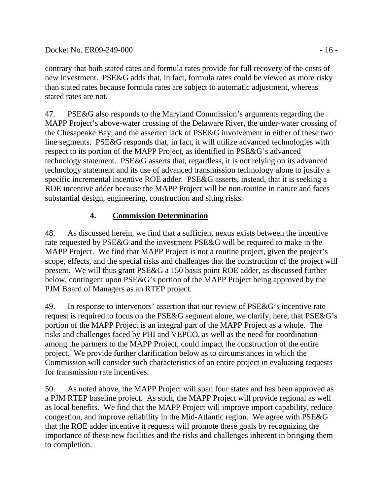#### Docket No. ER09-249-000 - 16 -

contrary that both stated rates and formula rates provide for full recovery of the costs of new investment. PSE&G adds that, in fact, formula rates could be viewed as more risky than stated rates because formula rates are subject to automatic adjustment, whereas stated rates are not.

47. PSE&G also responds to the Maryland Commission's arguments regarding the MAPP Project's above-water crossing of the Delaware River, the under-water crossing of the Chesapeake Bay, and the asserted lack of PSE&G involvement in either of these two line segments. PSE&G responds that, in fact, it will utilize advanced technologies with respect to its portion of the MAPP Project, as identified in PSE&G's advanced technology statement. PSE&G asserts that, regardless, it is not relying on its advanced technology statement and its use of advanced transmission technology alone to justify a specific incremental incentive ROE adder. PSE&G asserts, instead, that it is seeking a ROE incentive adder because the MAPP Project will be non-routine in nature and faces substantial design, engineering, construction and siting risks.

### **4. Commission Determination**

48. As discussed herein, we find that a sufficient nexus exists between the incentive rate requested by PSE&G and the investment PSE&G will be required to make in the MAPP Project. We find that MAPP Project is not a routine project, given the project's scope, effects, and the special risks and challenges that the construction of the project will present. We will thus grant PSE&G a 150 basis point ROE adder, as discussed further below, contingent upon PSE&G's portion of the MAPP Project being approved by the PJM Board of Managers as an RTEP project.

49. In response to intervenors' assertion that our review of PSE&G's incentive rate request is required to focus on the PSE&G segment alone, we clarify, here, that PSE&G's portion of the MAPP Project is an integral part of the MAPP Project as a whole. The risks and challenges faced by PHI and VEPCO, as well as the need for coordination among the partners to the MAPP Project, could impact the construction of the entire project. We provide further clarification below as to circumstances in which the Commission will consider such characteristics of an entire project in evaluating requests for transmission rate incentives.

50. As noted above, the MAPP Project will span four states and has been approved as a PJM RTEP baseline project. As such, the MAPP Project will provide regional as well as local benefits. We find that the MAPP Project will improve import capability, reduce congestion, and improve reliability in the Mid-Atlantic region. We agree with PSE&G that the ROE adder incentive it requests will promote these goals by recognizing the importance of these new facilities and the risks and challenges inherent in bringing them to completion.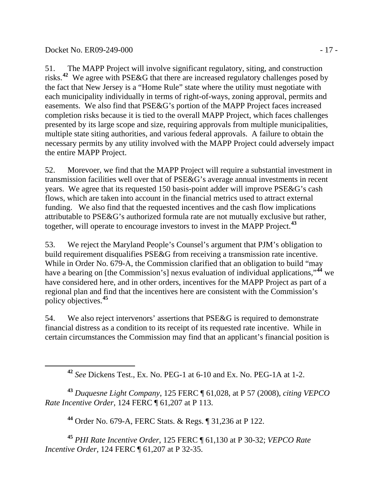<span id="page-16-0"></span> $\overline{a}$ 

51. The MAPP Project will involve significant regulatory, siting, and construction risks.**[42](#page-16-0)** We agree with PSE&G that there are increased regulatory challenges posed by the fact that New Jersey is a "Home Rule" state where the utility must negotiate with each municipality individually in terms of right-of-ways, zoning approval, permits and easements. We also find that PSE&G's portion of the MAPP Project faces increased completion risks because it is tied to the overall MAPP Project, which faces challenges presented by its large scope and size, requiring approvals from multiple municipalities, multiple state siting authorities, and various federal approvals. A failure to obtain the necessary permits by any utility involved with the MAPP Project could adversely impact the entire MAPP Project.

52. Morevoer, we find that the MAPP Project will require a substantial investment in transmission facilities well over that of PSE&G's average annual investments in recent years. We agree that its requested 150 basis-point adder will improve PSE&G's cash flows, which are taken into account in the financial metrics used to attract external funding. We also find that the requested incentives and the cash flow implications attributable to PSE&G's authorized formula rate are not mutually exclusive but rather, together, will operate to encourage investors to invest in the MAPP Project.**[43](#page-16-1)**

53. We reject the Maryland People's Counsel's argument that PJM's obligation to build requirement disqualifies PSE&G from receiving a transmission rate incentive. While in Order No. 679-A, the Commission clarified that an obligation to build "may have a bearing on [the Commission's] nexus evaluation of individual applications,"<sup>[44](#page-16-2)</sup> we have considered here, and in other orders, incentives for the MAPP Project as part of a regional plan and find that the incentives here are consistent with the Commission's policy objectives.**[45](#page-16-3)**

54. We also reject intervenors' assertions that PSE&G is required to demonstrate financial distress as a condition to its receipt of its requested rate incentive. While in certain circumstances the Commission may find that an applicant's financial position is

**<sup>42</sup>** *See* Dickens Test., Ex. No. PEG-1 at 6-10 and Ex. No. PEG-1A at 1-2.

<span id="page-16-1"></span>**<sup>43</sup>** *Duquesne Light Company*, 125 FERC ¶ 61,028, at P 57 (2008), *citing VEPCO Rate Incentive Order*, 124 FERC ¶ 61,207 at P 113.

**<sup>44</sup>** Order No. 679-A, FERC Stats. & Regs. ¶ 31,236 at P 122.

<span id="page-16-3"></span><span id="page-16-2"></span>**<sup>45</sup>** *PHI Rate Incentive Order*, 125 FERC ¶ 61,130 at P 30-32; *VEPCO Rate Incentive Order,* 124 FERC ¶ 61,207 at P 32-35.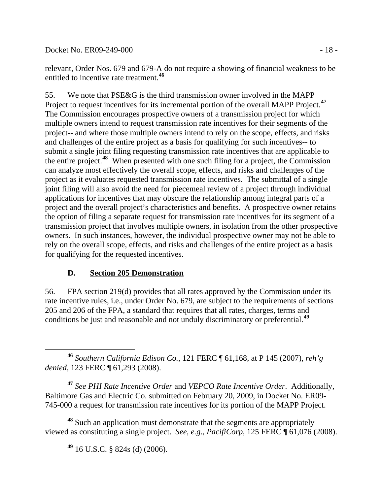Docket No. ER09-249-000 - 18 -

relevant, Order Nos. 679 and 679-A do not require a showing of financial weakness to be entitled to incentive rate treatment.**[46](#page-17-0)**

55. We note that PSE&G is the third transmission owner involved in the MAPP Project to request incentives for its incremental portion of the overall MAPP Project.**[47](#page-17-1)** The Commission encourages prospective owners of a transmission project for which multiple owners intend to request transmission rate incentives for their segments of the project-- and where those multiple owners intend to rely on the scope, effects, and risks and challenges of the entire project as a basis for qualifying for such incentives-- to submit a single joint filing requesting transmission rate incentives that are applicable to the entire project.**[48](#page-17-2)** When presented with one such filing for a project, the Commission can analyze most effectively the overall scope, effects, and risks and challenges of the project as it evaluates requested transmission rate incentives. The submittal of a single joint filing will also avoid the need for piecemeal review of a project through individual applications for incentives that may obscure the relationship among integral parts of a project and the overall project's characteristics and benefits. A prospective owner retains the option of filing a separate request for transmission rate incentives for its segment of a transmission project that involves multiple owners, in isolation from the other prospective owners. In such instances, however, the individual prospective owner may not be able to rely on the overall scope, effects, and risks and challenges of the entire project as a basis for qualifying for the requested incentives.

## **D. Section 205 Demonstration**

56. FPA section 219(d) provides that all rates approved by the Commission under its rate incentive rules, i.e., under Order No. 679, are subject to the requirements of sections 205 and 206 of the FPA, a standard that requires that all rates, charges, terms and conditions be just and reasonable and not unduly discriminatory or preferential.**[49](#page-17-3)**

<span id="page-17-0"></span> **<sup>46</sup>** *Southern California Edison Co.*, 121 FERC ¶ 61,168, at P 145 (2007), *reh'g denied*, 123 FERC ¶ 61,293 (2008).

<span id="page-17-1"></span>**<sup>47</sup>** *See PHI Rate Incentive Order* and *VEPCO Rate Incentive Order*. Additionally, Baltimore Gas and Electric Co. submitted on February 20, 2009, in Docket No. ER09- 745-000 a request for transmission rate incentives for its portion of the MAPP Project.

<span id="page-17-3"></span><span id="page-17-2"></span>**<sup>48</sup>** Such an application must demonstrate that the segments are appropriately viewed as constituting a single project. *See, e.g*., *PacifiCorp*, 125 FERC ¶ 61,076 (2008).

**<sup>49</sup>** 16 U.S.C. § 824s (d) (2006).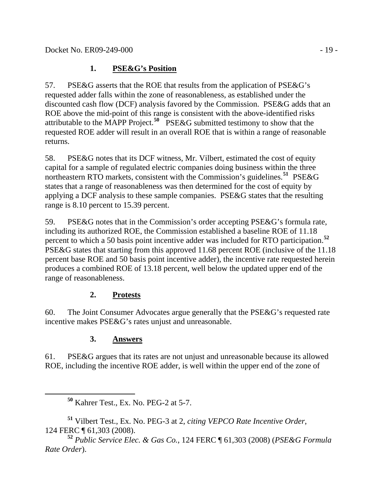## **1. PSE&G's Position**

57. PSE&G asserts that the ROE that results from the application of PSE&G's requested adder falls within the zone of reasonableness, as established under the discounted cash flow (DCF) analysis favored by the Commission. PSE&G adds that an ROE above the mid-point of this range is consistent with the above-identified risks attributable to the MAPP Project.**[50](#page-18-0)** PSE&G submitted testimony to show that the requested ROE adder will result in an overall ROE that is within a range of reasonable returns.

58. PSE&G notes that its DCF witness, Mr. Vilbert, estimated the cost of equity capital for a sample of regulated electric companies doing business within the three northeastern RTO markets, consistent with the Commission's guidelines.**[51](#page-18-1)** PSE&G states that a range of reasonableness was then determined for the cost of equity by applying a DCF analysis to these sample companies. PSE&G states that the resulting range is 8.10 percent to 15.39 percent.

59. PSE&G notes that in the Commission's order accepting PSE&G's formula rate, including its authorized ROE, the Commission established a baseline ROE of 11.18 percent to which a 50 basis point incentive adder was included for RTO participation.**[52](#page-18-2)** PSE&G states that starting from this approved 11.68 percent ROE (inclusive of the 11.18 percent base ROE and 50 basis point incentive adder), the incentive rate requested herein produces a combined ROE of 13.18 percent, well below the updated upper end of the range of reasonableness.

# **2. Protests**

60. The Joint Consumer Advocates argue generally that the PSE&G's requested rate incentive makes PSE&G's rates unjust and unreasonable.

# **3. Answers**

61. PSE&G argues that its rates are not unjust and unreasonable because its allowed ROE, including the incentive ROE adder, is well within the upper end of the zone of

**<sup>50</sup>** Kahrer Test., Ex. No. PEG-2 at 5-7.

<span id="page-18-1"></span><span id="page-18-0"></span>**<sup>51</sup>** Vilbert Test., Ex. No. PEG-3 at 2, *citing VEPCO Rate Incentive Order*, 124 FERC ¶ 61,303 (2008).

<span id="page-18-2"></span>**<sup>52</sup>** *Public Service Elec. & Gas Co.*, 124 FERC ¶ 61,303 (2008) (*PSE&G Formula Rate Order*).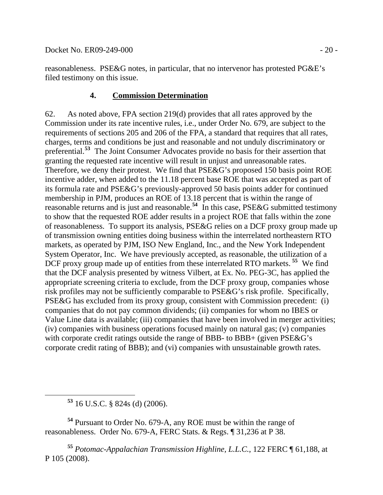reasonableness. PSE&G notes, in particular, that no intervenor has protested PG&E's filed testimony on this issue.

#### **4. Commission Determination**

62. As noted above, FPA section 219(d) provides that all rates approved by the Commission under its rate incentive rules, i.e., under Order No. 679, are subject to the requirements of sections 205 and 206 of the FPA, a standard that requires that all rates, charges, terms and conditions be just and reasonable and not unduly discriminatory or preferential.**[53](#page-19-0)** The Joint Consumer Advocates provide no basis for their assertion that granting the requested rate incentive will result in unjust and unreasonable rates. Therefore, we deny their protest. We find that PSE&G's proposed 150 basis point ROE incentive adder, when added to the 11.18 percent base ROE that was accepted as part of its formula rate and PSE&G's previously-approved 50 basis points adder for continued membership in PJM, produces an ROE of 13.18 percent that is within the range of reasonable returns and is just and reasonable.**[54](#page-19-1)** In this case, PSE&G submitted testimony to show that the requested ROE adder results in a project ROE that falls within the zone of reasonableness. To support its analysis, PSE&G relies on a DCF proxy group made up of transmission owning entities doing business within the interrelated northeastern RTO markets, as operated by PJM, ISO New England, Inc., and the New York Independent System Operator, Inc. We have previously accepted, as reasonable, the utilization of a DCF proxy group made up of entities from these interrelated RTO markets. **[55](#page-19-2)** We find that the DCF analysis presented by witness Vilbert, at Ex. No. PEG-3C, has applied the appropriate screening criteria to exclude, from the DCF proxy group, companies whose risk profiles may not be sufficiently comparable to PSE&G's risk profile. Specifically, PSE&G has excluded from its proxy group, consistent with Commission precedent: (i) companies that do not pay common dividends; (ii) companies for whom no IBES or Value Line data is available; (iii) companies that have been involved in merger activities; (iv) companies with business operations focused mainly on natural gas; (v) companies with corporate credit ratings outside the range of BBB- to BBB+ (given PSE&G's corporate credit rating of BBB); and (vi) companies with unsustainable growth rates.

**<sup>53</sup>** 16 U.S.C. § 824s (d) (2006).

<span id="page-19-1"></span><span id="page-19-0"></span>**<sup>54</sup>** Pursuant to Order No. 679-A, any ROE must be within the range of reasonableness. Order No. 679-A, FERC Stats. & Regs. ¶ 31,236 at P 38.

<span id="page-19-2"></span>**<sup>55</sup>** *Potomac-Appalachian Transmission Highline, L.L.C.*, 122 FERC ¶ 61,188, at P 105 (2008).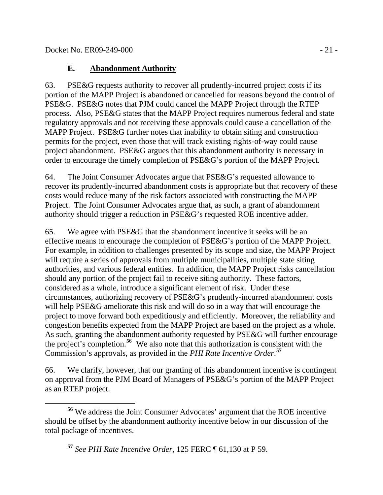### **E. Abandonment Authority**

63. PSE&G requests authority to recover all prudently-incurred project costs if its portion of the MAPP Project is abandoned or cancelled for reasons beyond the control of PSE&G. PSE&G notes that PJM could cancel the MAPP Project through the RTEP process. Also, PSE&G states that the MAPP Project requires numerous federal and state regulatory approvals and not receiving these approvals could cause a cancellation of the MAPP Project. PSE&G further notes that inability to obtain siting and construction permits for the project, even those that will track existing rights-of-way could cause project abandonment. PSE&G argues that this abandonment authority is necessary in order to encourage the timely completion of PSE&G's portion of the MAPP Project.

64. The Joint Consumer Advocates argue that PSE&G's requested allowance to recover its prudently-incurred abandonment costs is appropriate but that recovery of these costs would reduce many of the risk factors associated with constructing the MAPP Project. The Joint Consumer Advocates argue that, as such, a grant of abandonment authority should trigger a reduction in PSE&G's requested ROE incentive adder.

65. We agree with PSE&G that the abandonment incentive it seeks will be an effective means to encourage the completion of PSE&G's portion of the MAPP Project. For example, in addition to challenges presented by its scope and size, the MAPP Project will require a series of approvals from multiple municipalities, multiple state siting authorities, and various federal entities. In addition, the MAPP Project risks cancellation should any portion of the project fail to receive siting authority. These factors, considered as a whole, introduce a significant element of risk. Under these circumstances, authorizing recovery of PSE&G's prudently-incurred abandonment costs will help PSE&G ameliorate this risk and will do so in a way that will encourage the project to move forward both expeditiously and efficiently. Moreover, the reliability and congestion benefits expected from the MAPP Project are based on the project as a whole. As such, granting the abandonment authority requested by PSE&G will further encourage the project's completion.**[56](#page-20-0)** We also note that this authorization is consistent with the Commission's approvals, as provided in the *PHI Rate Incentive Order*. **[57](#page-20-1)**

66. We clarify, however, that our granting of this abandonment incentive is contingent on approval from the PJM Board of Managers of PSE&G's portion of the MAPP Project as an RTEP project.

<span id="page-20-1"></span><span id="page-20-0"></span>**<sup>56</sup>** We address the Joint Consumer Advocates' argument that the ROE incentive should be offset by the abandonment authority incentive below in our discussion of the total package of incentives.

**<sup>57</sup>** *See PHI Rate Incentive Order,* 125 FERC ¶ 61,130 at P 59.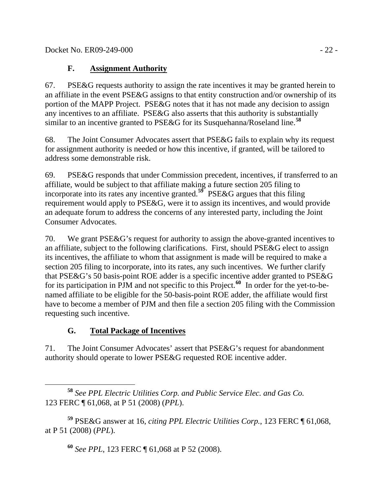## **F. Assignment Authority**

67. PSE&G requests authority to assign the rate incentives it may be granted herein to an affiliate in the event PSE&G assigns to that entity construction and/or ownership of its portion of the MAPP Project. PSE&G notes that it has not made any decision to assign any incentives to an affiliate. PSE&G also asserts that this authority is substantially similar to an incentive granted to PSE&G for its Susquehanna/Roseland line.**[58](#page-21-0)**

68. The Joint Consumer Advocates assert that PSE&G fails to explain why its request for assignment authority is needed or how this incentive, if granted, will be tailored to address some demonstrable risk.

69. PSE&G responds that under Commission precedent, incentives, if transferred to an affiliate, would be subject to that affiliate making a future section 205 filing to incorporate into its rates any incentive granted.**[59](#page-21-1)** PSE&G argues that this filing requirement would apply to PSE&G, were it to assign its incentives, and would provide an adequate forum to address the concerns of any interested party, including the Joint Consumer Advocates.

70. We grant PSE&G's request for authority to assign the above-granted incentives to an affiliate, subject to the following clarifications. First, should PSE&G elect to assign its incentives, the affiliate to whom that assignment is made will be required to make a section 205 filing to incorporate, into its rates, any such incentives. We further clarify that PSE&G's 50 basis-point ROE adder is a specific incentive adder granted to PSE&G for its participation in PJM and not specific to this Project.**[60](#page-21-2)** In order for the yet-to-benamed affiliate to be eligible for the 50-basis-point ROE adder, the affiliate would first have to become a member of PJM and then file a section 205 filing with the Commission requesting such incentive.

# **G. Total Package of Incentives**

71. The Joint Consumer Advocates' assert that PSE&G's request for abandonment authority should operate to lower PSE&G requested ROE incentive adder.

<span id="page-21-0"></span> **<sup>58</sup>** *See PPL Electric Utilities Corp. and Public Service Elec. and Gas Co.*  123 FERC ¶ 61,068, at P 51 (2008) (*PPL*).

<span id="page-21-2"></span><span id="page-21-1"></span>**<sup>59</sup>** PSE&G answer at 16, *citing PPL Electric Utilities Corp.*, 123 FERC ¶ 61,068, at P 51 (2008) (*PPL*).

**<sup>60</sup>** *See PPL*, 123 FERC ¶ 61,068 at P 52 (2008).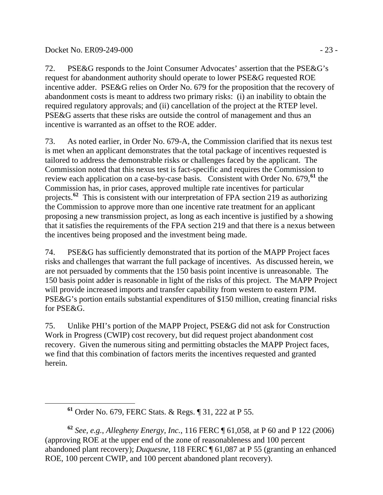<span id="page-22-0"></span> $\overline{a}$ 

72. PSE&G responds to the Joint Consumer Advocates' assertion that the PSE&G's request for abandonment authority should operate to lower PSE&G requested ROE incentive adder. PSE&G relies on Order No. 679 for the proposition that the recovery of abandonment costs is meant to address two primary risks: (i) an inability to obtain the required regulatory approvals; and (ii) cancellation of the project at the RTEP level. PSE&G asserts that these risks are outside the control of management and thus an incentive is warranted as an offset to the ROE adder.

73. As noted earlier, in Order No. 679-A, the Commission clarified that its nexus test is met when an applicant demonstrates that the total package of incentives requested is tailored to address the demonstrable risks or challenges faced by the applicant. The Commission noted that this nexus test is fact-specific and requires the Commission to review each application on a case-by-case basis. Consistent with Order No. 679,**[61](#page-22-0)** the Commission has, in prior cases, approved multiple rate incentives for particular projects.**[62](#page-22-1)** This is consistent with our interpretation of FPA section 219 as authorizing the Commission to approve more than one incentive rate treatment for an applicant proposing a new transmission project, as long as each incentive is justified by a showing that it satisfies the requirements of the FPA section 219 and that there is a nexus between the incentives being proposed and the investment being made.

74. PSE&G has sufficiently demonstrated that its portion of the MAPP Project faces risks and challenges that warrant the full package of incentives. As discussed herein, we are not persuaded by comments that the 150 basis point incentive is unreasonable. The 150 basis point adder is reasonable in light of the risks of this project. The MAPP Project will provide increased imports and transfer capability from western to eastern PJM. PSE&G's portion entails substantial expenditures of \$150 million, creating financial risks for PSE&G.

75. Unlike PHI's portion of the MAPP Project, PSE&G did not ask for Construction Work in Progress (CWIP) cost recovery, but did request project abandonment cost recovery. Given the numerous siting and permitting obstacles the MAPP Project faces, we find that this combination of factors merits the incentives requested and granted herein.

**<sup>61</sup>** Order No. 679, FERC Stats. & Regs. ¶ 31, 222 at P 55.

<span id="page-22-1"></span>**<sup>62</sup>** *See, e.g.*, *Allegheny Energy, Inc.*, 116 FERC ¶ 61,058, at P 60 and P 122 (2006) (approving ROE at the upper end of the zone of reasonableness and 100 percent abandoned plant recovery); *Duquesne*, 118 FERC ¶ 61,087 at P 55 (granting an enhanced ROE, 100 percent CWIP, and 100 percent abandoned plant recovery).